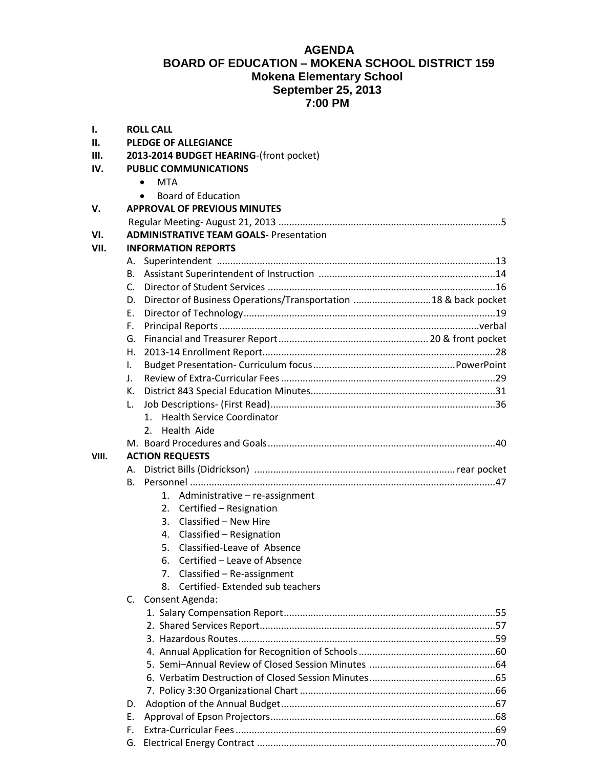## **AGENDA BOARD OF EDUCATION – MOKENA SCHOOL DISTRICT 159 Mokena Elementary School September 25, 2013 7:00 PM**

| 1.    |              | <b>ROLL CALL</b>                                                   |  |  |
|-------|--------------|--------------------------------------------------------------------|--|--|
| П.    |              | <b>PLEDGE OF ALLEGIANCE</b>                                        |  |  |
| III.  |              | 2013-2014 BUDGET HEARING-(front pocket)                            |  |  |
| IV.   |              | <b>PUBLIC COMMUNICATIONS</b>                                       |  |  |
|       |              | <b>MTA</b><br>$\bullet$                                            |  |  |
|       |              | <b>Board of Education</b><br>$\bullet$                             |  |  |
| V.    |              | <b>APPROVAL OF PREVIOUS MINUTES</b>                                |  |  |
|       |              |                                                                    |  |  |
| VI.   |              | <b>ADMINISTRATIVE TEAM GOALS- Presentation</b>                     |  |  |
| VII.  |              | <b>INFORMATION REPORTS</b>                                         |  |  |
|       |              |                                                                    |  |  |
|       |              |                                                                    |  |  |
|       | C.           |                                                                    |  |  |
|       |              | D. Director of Business Operations/Transportation 18 & back pocket |  |  |
|       | Ε.           |                                                                    |  |  |
|       | F.           |                                                                    |  |  |
|       | G.           |                                                                    |  |  |
|       |              |                                                                    |  |  |
|       | I.           |                                                                    |  |  |
|       | $\mathbf{L}$ |                                                                    |  |  |
|       |              |                                                                    |  |  |
|       | L.           |                                                                    |  |  |
|       |              | 1. Health Service Coordinator                                      |  |  |
|       |              | 2. Health Aide                                                     |  |  |
|       |              |                                                                    |  |  |
| VIII. |              | <b>ACTION REQUESTS</b>                                             |  |  |
|       |              |                                                                    |  |  |
|       |              |                                                                    |  |  |
|       |              |                                                                    |  |  |
|       |              | 1. Administrative - re-assignment<br>2.                            |  |  |
|       |              | Certified - Resignation<br>Classified - New Hire<br>3.             |  |  |
|       |              |                                                                    |  |  |
|       |              | 4. Classified - Resignation<br>5. Classified-Leave of Absence      |  |  |
|       |              |                                                                    |  |  |
|       |              | Certified - Leave of Absence                                       |  |  |
|       |              | 7. Classified - Re-assignment                                      |  |  |
|       |              | 8. Certified-Extended sub teachers                                 |  |  |
|       |              | C. Consent Agenda:                                                 |  |  |
|       |              |                                                                    |  |  |
|       |              |                                                                    |  |  |
|       |              |                                                                    |  |  |
|       |              |                                                                    |  |  |
|       |              |                                                                    |  |  |
|       |              |                                                                    |  |  |
|       |              |                                                                    |  |  |
|       | D.           |                                                                    |  |  |
|       | Е.           |                                                                    |  |  |
|       | F.           |                                                                    |  |  |
|       |              |                                                                    |  |  |